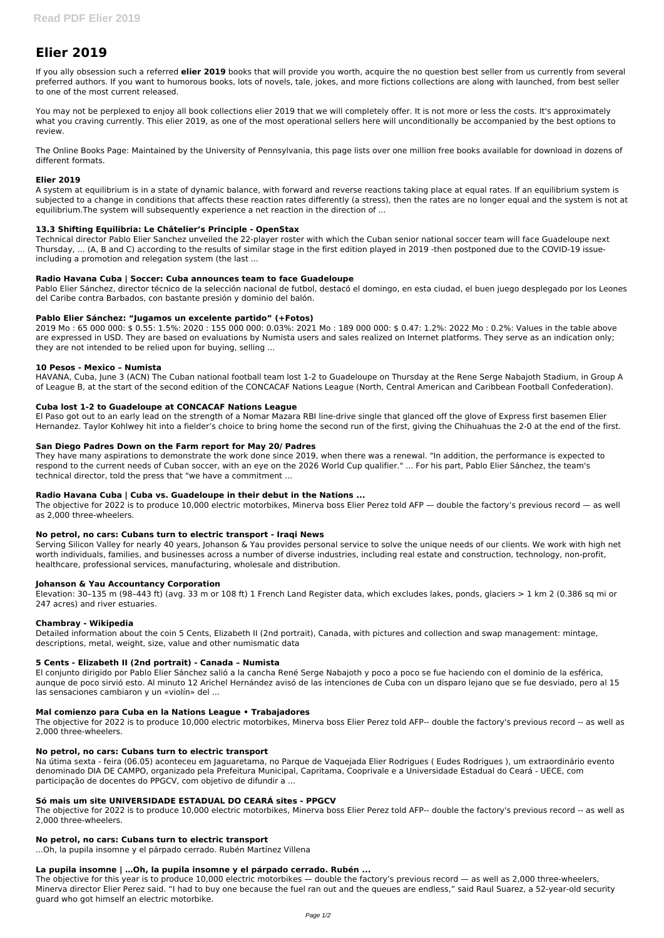# **Elier 2019**

If you ally obsession such a referred **elier 2019** books that will provide you worth, acquire the no question best seller from us currently from several preferred authors. If you want to humorous books, lots of novels, tale, jokes, and more fictions collections are along with launched, from best seller to one of the most current released.

You may not be perplexed to enjoy all book collections elier 2019 that we will completely offer. It is not more or less the costs. It's approximately what you craving currently. This elier 2019, as one of the most operational sellers here will unconditionally be accompanied by the best options to review.

The Online Books Page: Maintained by the University of Pennsylvania, this page lists over one million free books available for download in dozens of different formats.

# **Elier 2019**

A system at equilibrium is in a state of dynamic balance, with forward and reverse reactions taking place at equal rates. If an equilibrium system is subjected to a change in conditions that affects these reaction rates differently (a stress), then the rates are no longer equal and the system is not at equilibrium.The system will subsequently experience a net reaction in the direction of ...

# **13.3 Shifting Equilibria: Le Châtelier's Principle - OpenStax**

Technical director Pablo Elier Sanchez unveiled the 22-player roster with which the Cuban senior national soccer team will face Guadeloupe next Thursday, ... (A, B and C) according to the results of similar stage in the first edition played in 2019 -then postponed due to the COVID-19 issueincluding a promotion and relegation system (the last ...

# **Radio Havana Cuba | Soccer: Cuba announces team to face Guadeloupe**

Pablo Elier Sánchez, director técnico de la selección nacional de futbol, destacó el domingo, en esta ciudad, el buen juego desplegado por los Leones del Caribe contra Barbados, con bastante presión y dominio del balón.

## **Pablo Elier Sánchez: "Jugamos un excelente partido" (+Fotos)**

2019 Mo : 65 000 000: \$ 0.55: 1.5%: 2020 : 155 000 000: 0.03%: 2021 Mo : 189 000 000: \$ 0.47: 1.2%: 2022 Mo : 0.2%: Values in the table above are expressed in USD. They are based on evaluations by Numista users and sales realized on Internet platforms. They serve as an indication only; they are not intended to be relied upon for buying, selling ...

## **10 Pesos - Mexico – Numista**

HAVANA, Cuba, June 3 (ACN) The Cuban national football team lost 1-2 to Guadeloupe on Thursday at the Rene Serge Nabajoth Stadium, in Group A of League B, at the start of the second edition of the CONCACAF Nations League (North, Central American and Caribbean Football Confederation).

# **Cuba lost 1-2 to Guadeloupe at CONCACAF Nations League**

El Paso got out to an early lead on the strength of a Nomar Mazara RBI line-drive single that glanced off the glove of Express first basemen Elier Hernandez. Taylor Kohlwey hit into a fielder's choice to bring home the second run of the first, giving the Chihuahuas the 2-0 at the end of the first.

## **San Diego Padres Down on the Farm report for May 20/ Padres**

They have many aspirations to demonstrate the work done since 2019, when there was a renewal. "In addition, the performance is expected to respond to the current needs of Cuban soccer, with an eye on the 2026 World Cup qualifier." ... For his part, Pablo Elier Sánchez, the team's technical director, told the press that "we have a commitment ...

## **Radio Havana Cuba | Cuba vs. Guadeloupe in their debut in the Nations ...**

The objective for 2022 is to produce 10,000 electric motorbikes, Minerva boss Elier Perez told AFP — double the factory's previous record — as well as 2,000 three-wheelers.

## **No petrol, no cars: Cubans turn to electric transport - Iraqi News**

Serving Silicon Valley for nearly 40 years, Johanson & Yau provides personal service to solve the unique needs of our clients. We work with high net worth individuals, families, and businesses across a number of diverse industries, including real estate and construction, technology, non-profit, healthcare, professional services, manufacturing, wholesale and distribution.

## **Johanson & Yau Accountancy Corporation**

Elevation: 30–135 m (98–443 ft) (avg. 33 m or 108 ft) 1 French Land Register data, which excludes lakes, ponds, glaciers > 1 km 2 (0.386 sq mi or 247 acres) and river estuaries.

## **Chambray - Wikipedia**

Detailed information about the coin 5 Cents, Elizabeth II (2nd portrait), Canada, with pictures and collection and swap management: mintage, descriptions, metal, weight, size, value and other numismatic data

## **5 Cents - Elizabeth II (2nd portrait) - Canada – Numista**

El conjunto dirigido por Pablo Elier Sánchez salió a la cancha René Serge Nabajoth y poco a poco se fue haciendo con el dominio de la esférica, aunque de poco sirvió esto. Al minuto 12 Arichel Hernández avisó de las intenciones de Cuba con un disparo lejano que se fue desviado, pero al 15 las sensaciones cambiaron y un «violín» del ...

# **Mal comienzo para Cuba en la Nations League • Trabajadores**

The objective for 2022 is to produce 10,000 electric motorbikes, Minerva boss Elier Perez told AFP-- double the factory's previous record -- as well as 2,000 three-wheelers.

#### **No petrol, no cars: Cubans turn to electric transport**

Na útima sexta - feira (06.05) aconteceu em Jaguaretama, no Parque de Vaquejada Elier Rodrigues ( Eudes Rodrigues ), um extraordinário evento denominado DIA DE CAMPO, organizado pela Prefeitura Municipal, Capritama, Cooprivale e a Universidade Estadual do Ceará - UECE, com participação de docentes do PPGCV, com objetivo de difundir a ...

#### **Só mais um site UNIVERSIDADE ESTADUAL DO CEARÁ sites - PPGCV**

The objective for 2022 is to produce 10,000 electric motorbikes, Minerva boss Elier Perez told AFP-- double the factory's previous record -- as well as 2,000 three-wheelers.

#### **No petrol, no cars: Cubans turn to electric transport**

...Oh, la pupila insomne y el párpado cerrado. Rubén Martínez Villena

#### **La pupila insomne | …Oh, la pupila insomne y el párpado cerrado. Rubén ...**

The objective for this year is to produce 10,000 electric motorbikes — double the factory's previous record — as well as 2,000 three-wheelers, Minerva director Elier Perez said. "I had to buy one because the fuel ran out and the queues are endless," said Raul Suarez, a 52-year-old security guard who got himself an electric motorbike.